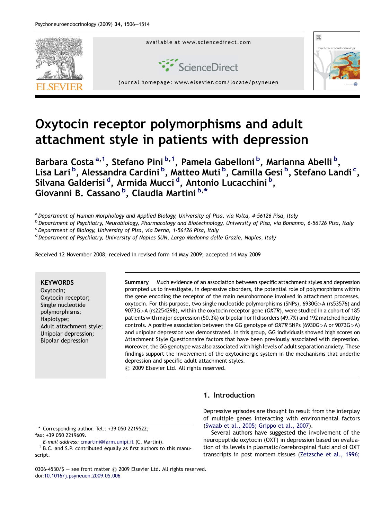

# Oxytocin receptor polymorphisms and adult attachment style in patients with depression

Barbara Costa<sup>a,1</sup>, Stefano Pini<sup>b,1</sup>, Pamela Gabelloni<sup>b</sup>, Marianna Abelli<sup>b</sup>, Lisa Lari <sup>b</sup>, Alessandra Cardini <sup>b</sup>, Matteo Muti <sup>b</sup>, Camilla Gesi <sup>b</sup>, Stefano Landi <sup>c</sup>, Silvana Galderisi <sup>d</sup>, Armida Mucci <sup>d</sup>, Antonio Lucacchini <sup>b</sup>, Giovanni B. Cassano <sup>b</sup>, Claudia Martini <sup>b,\*</sup>

a Department of Human Morphology and Applied Biology, University of Pisa, via Volta, 4-56126 Pisa, Italy

<sup>b</sup> Department of Psychiatry, Neurobiology, Pharmacology and Biotechnology, University of Pisa, via Bonanno, 6-56126 Pisa, Italy

 $c$  Department of Biology, University of Pisa, via Derna, 1-56126 Pisa, Italy

<sup>d</sup> Department of Psychiatry, University of Naples SUN, Largo Madonna delle Grazie, Naples, Italy

Received 12 November 2008; received in revised form 14 May 2009; accepted 14 May 2009

### **KEYWORDS**

Oxytocin; Oxytocin receptor; Single nucleotide polymorphisms; Haplotype; Adult attachment style; Unipolar depression; Bipolar depression

Summary Much evidence of an association between specific attachment styles and depression prompted us to investigate, in depressive disorders, the potential role of polymorphisms within the gene encoding the receptor of the main neurohormone involved in attachment processes, oxytocin. For this purpose, two single nucleotide polymorphisms (SNPs), 6930G>A (rs53576) and 9073G>A (rs2254298), within the oxytocin receptor gene (OXTR), were studied in a cohort of 185 patients with major depression (50.3%) or bipolar I or II disorders (49.7%) and 192 matched healthy controls. A positive association between the GG genotype of OXTR SNPs (6930G>A or 9073G>A) and unipolar depression was demonstrated. In this group, GG individuals showed high scores on Attachment Style Questionnaire factors that have been previously associated with depression. Moreover, the GG genotype was also associated with high levels of adult separation anxiety. These findings support the involvement of the oxytocinergic system in the mechanisms that underlie depression and specific adult attachment styles.

 $\odot$  2009 Elsevier Ltd. All rights reserved.

\* Corresponding author. Tel.: +39 050 2219522;

fax: +39 050 2219609.<br>E-mail address: cmartini@farm.unipi.it (C. Martini).

 $1$  B.C. and S.P. contributed equally as first authors to this manuscript.

0306-4530/\$ - see front matter  $\odot$  2009 Elsevier Ltd. All rights reserved. doi[:10.1016/j.psyneuen.2009.05.006](http://dx.doi.org/10.1016/j.psyneuen.2009.05.006)

# 1. Introduction

Depressive episodes are thought to result from the interplay of multiple genes interacting with environmental factors ([Swaab et al., 2005; Grippo et al., 2007\)](#page--1-0).

Several authors have suggested the involvement of the neuropeptide oxytocin (OXT) in depression based on evaluation of its levels in plasmatic/cerebrospinal fluid and of OXT transcripts in post mortem tissues ([Zetzsche et al., 1996;](#page--1-0)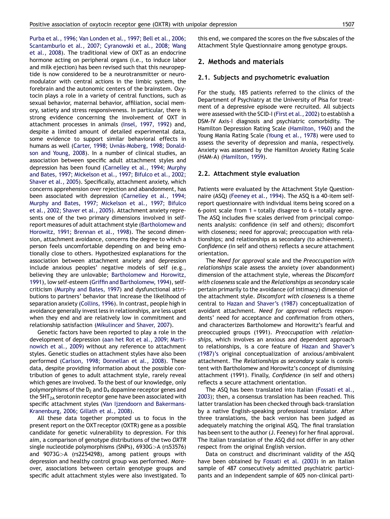[Purba et al., 1996; Van Londen et al., 1997; Bell et al., 2006;](#page--1-0) [Scantamburlo et al., 2007; Cyranowski et al., 2008; Wang](#page--1-0) [et al., 2008](#page--1-0)). The traditional view of OXT as an endocrine hormone acting on peripheral organs (i.e., to induce labor and milk ejection) has been revised such that this neuropeptide is now considered to be a neurotransmitter or neuromodulator with central actions in the limbic system, the forebrain and the autonomic centers of the brainstem. Oxytocin plays a role in a variety of central functions, such as sexual behavior, maternal behavior, affiliation, social memory, satiety and stress responsiveness. In particular, there is strong evidence concerning the involvement of OXT in attachment processes in animals [\(Insel, 1997, 1992](#page--1-0)) and, despite a limited amount of detailed experimental data, some evidence to support similar behavioral effects in humans as well (Carter, 1998; Uvnäs-Moberg, 1998; Donald[son and Young, 2008](#page--1-0)). In a number of clinical studies, an association between specific adult attachment styles and depression has been found [\(Carnelley et al., 1994; Murphy](#page--1-0) [and Bates, 1997; Mickelson et al., 1997; Bifulco et al., 2002;](#page--1-0) [Shaver et al., 2005](#page--1-0)). Specifically, attachment anxiety, which concerns apprehension over rejection and abandonment, has been associated with depression [\(Carnelley et al., 1994;](#page--1-0) [Murphy and Bates, 1997; Mickelson et al., 1997; Bifulco](#page--1-0) [et al., 2002; Shaver et al., 2005](#page--1-0)). Attachment anxiety represents one of the two primary dimensions involved in selfreport measures of adult attachment style ([Bartholomew and](#page--1-0) [Horowitz, 1991; Brennan et al., 1998](#page--1-0)). The second dimension, attachment avoidance, concerns the degree to which a person feels uncomfortable depending on and being emotionally close to others. Hypothesized explanations for the association between attachment anxiety and depression include anxious peoples' negative models of self (e.g., believing they are unlovable; [Bartholomew and Horowitz,](#page--1-0) [1991](#page--1-0)), low self-esteem ([Griffin and Bartholomew, 1994\)](#page--1-0), selfcriticism [\(Murphy and Bates, 1997\)](#page--1-0) and dysfunctional attributions to partners' behavior that increase the likelihood of separation anxiety ([Collins, 1996\)](#page--1-0). In contrast, people high in avoidance generally invest less in relationships, are less upset when they end and are relatively low in commitment and relationship satisfaction ([Mikulincer and Shaver, 2007](#page--1-0)).

Genetic factors have been reported to play a role in the development of depression [\(aan het Rot et al., 2009; Marti](#page--1-0)[nowich et al., 2009](#page--1-0)) without any reference to attachment styles. Genetic studies on attachment styles have also been performed ([Carlson, 1998; Donnellan et al., 2008](#page--1-0)). These data, despite providing information about the possible contribution of genes to adult attachment style, rarely reveal which genes are involved. To the best of our knowledge, only polymorphisms of the  $D_2$  and  $D_4$  dopamine receptor genes and the  $5HT<sub>2A</sub>$  serotonin receptor gene have been associated with specific attachment styles [\(Van Ijzendoorn and Bakermans-](#page--1-0)[Kranenburg, 2006; Gillath et al., 2008\)](#page--1-0).

All these data together prompted us to focus in the present report on the OXT receptor (OXTR) gene as a possible candidate for genetic vulnerability to depression. For this aim, a comparison of genotype distributions of the two OXTR single nucleotide polymorphisms (SNPs), 6930G>A (rs53576) and 9073G>A (rs2254298), among patient groups with depression and healthy control group was performed. Moreover, associations between certain genotype groups and specific adult attachment styles were also investigated. To this end, we compared the scores on the five subscales of the Attachment Style Questionnaire among genotype groups.

## 2. Methods and materials

#### 2.1. Subjects and psychometric evaluation

For the study, 185 patients referred to the clinics of the Department of Psychiatry at the University of Pisa for treatment of a depressive episode were recruited. All subjects were assessed with the SCID-I [\(First et al., 2002](#page--1-0)) to establish a DSM-IV Axis-I diagnosis and psychiatric comorbidity. The Hamilton Depression Rating Scale [\(Hamilton, 1960](#page--1-0)) and the Young Mania Rating Scale ([Young et al., 1978\)](#page--1-0) were used to assess the severity of depression and mania, respectively. Anxiety was assessed by the Hamilton Anxiety Rating Scale (HAM-A) [\(Hamilton, 1959](#page--1-0)).

### 2.2. Attachment style evaluation

Patients were evaluated by the Attachment Style Questionnaire (ASQ) [\(Feeney et al., 1994](#page--1-0)). The ASQ is a 40-item selfreport questionnaire with individual items being scored on a 6-point scale from  $1 =$  totally disagree to  $6 =$  totally agree. The ASQ includes five scales derived from principal components analysis: confidence (in self and others); discomfort with closeness; need for approval; preoccupation with relationships; and relationships as secondary (to achievement). Confidence (in self and others) reflects a secure attachment orientation.

The Need for approval scale and the Preoccupation with relationships scale assess the anxiety (over abandonment) dimension of the attachment style, whereas the Discomfort with closeness scale and the Relationships as secondary scale pertain primarily to the avoidance (of intimacy) dimension of the attachment style. Discomfort with closeness is a theme central to [Hazan and Shaver's \(1987\)](#page--1-0) conceptualization of avoidant attachment. Need for approval reflects respondents' need for acceptance and confirmation from others, and characterizes Bartholomew and Horowitz's fearful and preoccupied groups (1991). Preoccupation with relationships, which involves an anxious and dependent approach to relationships, is a core feature of [Hazan and Shaver's](#page--1-0) [\(1987\)'s](#page--1-0) original conceptualization of anxious/ambivalent attachment. The Relationships as secondary scale is consistent with Bartholomew and Horowitz's concept of dismissing attachment (1991). Finally, Confidence (in self and others) reflects a secure attachment orientation.

The ASQ has been translated into Italian [\(Fossati et al.,](#page--1-0) [2003](#page--1-0)); then, a consensus translation has been reached. This latter translation has been checked through back-translation by a native English-speaking professional translator. After three translations, the back version has been judged as adequately matching the original ASQ. The final translation has been sent to the author (J. Feeney) for her final approval. The Italian translation of the ASQ did not differ in any other respect from the original English version.

Data on construct and discriminant validity of the ASQ have been obtained by [Fossati et al. \(2003\)](#page--1-0) in an Italian sample of 487 consecutively admitted psychiatric participants and an independent sample of 605 non-clinical parti-